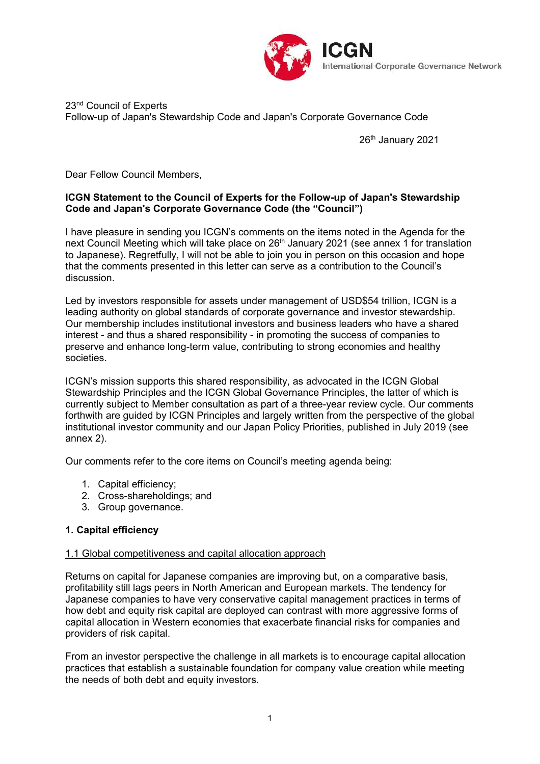

# 23<sup>nd</sup> Council of Experts Follow-up of Japan's Stewardship Code and Japan's Corporate Governance Code

26<sup>th</sup> January 2021

Dear Fellow Council Members,

# **ICGN Statement to the Council of Experts for the Follow-up of Japan's Stewardship Code and Japan's Corporate Governance Code (the "Council")**

I have pleasure in sending you ICGN's comments on the items noted in the Agenda for the next Council Meeting which will take place on 26<sup>th</sup> January 2021 (see annex 1 for translation to Japanese). Regretfully, I will not be able to join you in person on this occasion and hope that the comments presented in this letter can serve as a contribution to the Council's discussion.

Led by investors responsible for assets under management of USD\$54 trillion, ICGN is a leading authority on global standards of corporate governance and investor stewardship. Our membership includes institutional investors and business leaders who have a shared interest - and thus a shared responsibility - in promoting the success of companies to preserve and enhance long-term value, contributing to strong economies and healthy societies.

ICGN's mission supports this shared responsibility, as advocated in the ICGN Global Stewardship Principles and the ICGN Global Governance Principles, the latter of which is currently subject to Member consultation as part of a three-year review cycle. Our comments forthwith are guided by ICGN Principles and largely written from the perspective of the global institutional investor community and our Japan Policy Priorities, published in July 2019 (see annex 2).

Our comments refer to the core items on Council's meeting agenda being:

- 1. Capital efficiency;
- 2. Cross-shareholdings; and
- 3. Group governance.

## **1. Capital efficiency**

#### 1.1 Global competitiveness and capital allocation approach

Returns on capital for Japanese companies are improving but, on a comparative basis, profitability still lags peers in North American and European markets. The tendency for Japanese companies to have very conservative capital management practices in terms of how debt and equity risk capital are deployed can contrast with more aggressive forms of capital allocation in Western economies that exacerbate financial risks for companies and providers of risk capital.

From an investor perspective the challenge in all markets is to encourage capital allocation practices that establish a sustainable foundation for company value creation while meeting the needs of both debt and equity investors.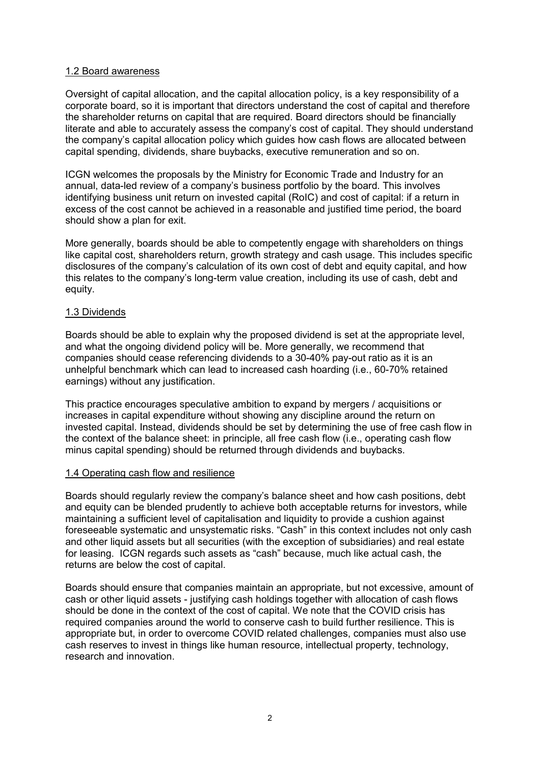#### 1.2 Board awareness

Oversight of capital allocation, and the capital allocation policy, is a key responsibility of a corporate board, so it is important that directors understand the cost of capital and therefore the shareholder returns on capital that are required. Board directors should be financially literate and able to accurately assess the company's cost of capital. They should understand the company's capital allocation policy which guides how cash flows are allocated between capital spending, dividends, share buybacks, executive remuneration and so on.

ICGN welcomes the proposals by the Ministry for Economic Trade and Industry for an annual, data-led review of a company's business portfolio by the board. This involves identifying business unit return on invested capital (RoIC) and cost of capital: if a return in excess of the cost cannot be achieved in a reasonable and justified time period, the board should show a plan for exit.

More generally, boards should be able to competently engage with shareholders on things like capital cost, shareholders return, growth strategy and cash usage. This includes specific disclosures of the company's calculation of its own cost of debt and equity capital, and how this relates to the company's long-term value creation, including its use of cash, debt and equity.

#### 1.3 Dividends

Boards should be able to explain why the proposed dividend is set at the appropriate level, and what the ongoing dividend policy will be. More generally, we recommend that companies should cease referencing dividends to a 30-40% pay-out ratio as it is an unhelpful benchmark which can lead to increased cash hoarding (i.e., 60-70% retained earnings) without any justification.

This practice encourages speculative ambition to expand by mergers / acquisitions or increases in capital expenditure without showing any discipline around the return on invested capital. Instead, dividends should be set by determining the use of free cash flow in the context of the balance sheet: in principle, all free cash flow (i.e., operating cash flow minus capital spending) should be returned through dividends and buybacks.

## 1.4 Operating cash flow and resilience

Boards should regularly review the company's balance sheet and how cash positions, debt and equity can be blended prudently to achieve both acceptable returns for investors, while maintaining a sufficient level of capitalisation and liquidity to provide a cushion against foreseeable systematic and unsystematic risks. "Cash" in this context includes not only cash and other liquid assets but all securities (with the exception of subsidiaries) and real estate for leasing. ICGN regards such assets as "cash" because, much like actual cash, the returns are below the cost of capital.

Boards should ensure that companies maintain an appropriate, but not excessive, amount of cash or other liquid assets - justifying cash holdings together with allocation of cash flows should be done in the context of the cost of capital. We note that the COVID crisis has required companies around the world to conserve cash to build further resilience. This is appropriate but, in order to overcome COVID related challenges, companies must also use cash reserves to invest in things like human resource, intellectual property, technology, research and innovation.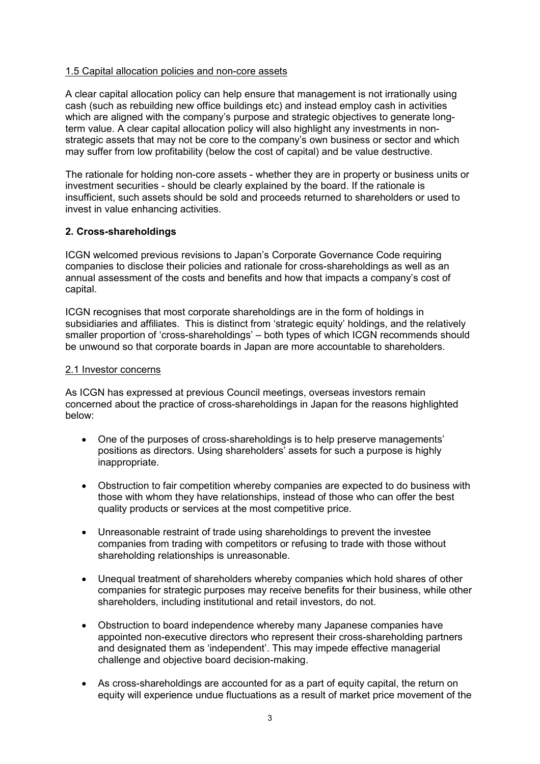## 1.5 Capital allocation policies and non-core assets

A clear capital allocation policy can help ensure that management is not irrationally using cash (such as rebuilding new office buildings etc) and instead employ cash in activities which are aligned with the company's purpose and strategic objectives to generate longterm value. A clear capital allocation policy will also highlight any investments in nonstrategic assets that may not be core to the company's own business or sector and which may suffer from low profitability (below the cost of capital) and be value destructive.

The rationale for holding non-core assets - whether they are in property or business units or investment securities - should be clearly explained by the board. If the rationale is insufficient, such assets should be sold and proceeds returned to shareholders or used to invest in value enhancing activities.

# **2. Cross-shareholdings**

ICGN welcomed previous revisions to Japan's Corporate Governance Code requiring companies to disclose their policies and rationale for cross-shareholdings as well as an annual assessment of the costs and benefits and how that impacts a company's cost of capital.

ICGN recognises that most corporate shareholdings are in the form of holdings in subsidiaries and affiliates. This is distinct from 'strategic equity' holdings, and the relatively smaller proportion of 'cross-shareholdings' – both types of which ICGN recommends should be unwound so that corporate boards in Japan are more accountable to shareholders.

## 2.1 Investor concerns

As ICGN has expressed at previous Council meetings, overseas investors remain concerned about the practice of cross-shareholdings in Japan for the reasons highlighted below:

- One of the purposes of cross-shareholdings is to help preserve managements' positions as directors. Using shareholders' assets for such a purpose is highly inappropriate.
- Obstruction to fair competition whereby companies are expected to do business with those with whom they have relationships, instead of those who can offer the best quality products or services at the most competitive price.
- Unreasonable restraint of trade using shareholdings to prevent the investee companies from trading with competitors or refusing to trade with those without shareholding relationships is unreasonable.
- Unequal treatment of shareholders whereby companies which hold shares of other companies for strategic purposes may receive benefits for their business, while other shareholders, including institutional and retail investors, do not.
- Obstruction to board independence whereby many Japanese companies have appointed non-executive directors who represent their cross-shareholding partners and designated them as 'independent'. This may impede effective managerial challenge and objective board decision-making.
- As cross-shareholdings are accounted for as a part of equity capital, the return on equity will experience undue fluctuations as a result of market price movement of the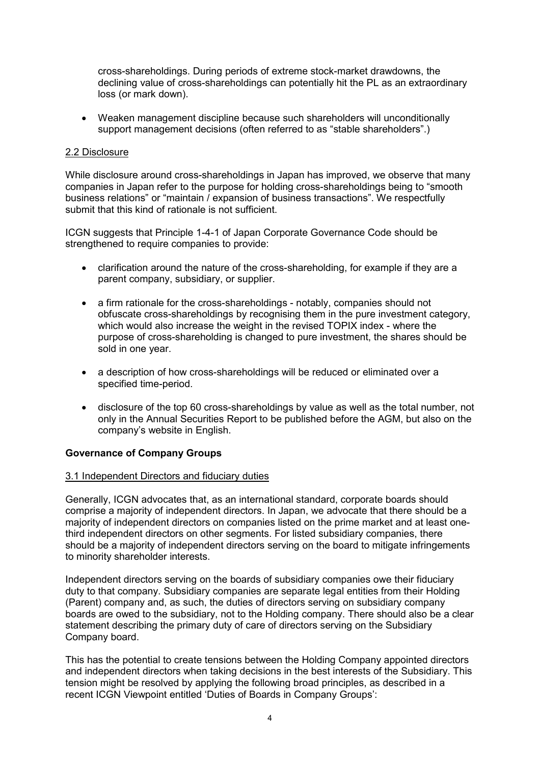cross-shareholdings. During periods of extreme stock-market drawdowns, the declining value of cross-shareholdings can potentially hit the PL as an extraordinary loss (or mark down).

 Weaken management discipline because such shareholders will unconditionally support management decisions (often referred to as "stable shareholders".)

#### 2.2 Disclosure

While disclosure around cross-shareholdings in Japan has improved, we observe that many companies in Japan refer to the purpose for holding cross-shareholdings being to "smooth business relations" or "maintain / expansion of business transactions". We respectfully submit that this kind of rationale is not sufficient.

ICGN suggests that Principle 1-4-1 of Japan Corporate Governance Code should be strengthened to require companies to provide:

- clarification around the nature of the cross-shareholding, for example if they are a parent company, subsidiary, or supplier.
- a firm rationale for the cross-shareholdings notably, companies should not obfuscate cross-shareholdings by recognising them in the pure investment category, which would also increase the weight in the revised TOPIX index - where the purpose of cross-shareholding is changed to pure investment, the shares should be sold in one year.
- a description of how cross-shareholdings will be reduced or eliminated over a specified time-period.
- disclosure of the top 60 cross-shareholdings by value as well as the total number, not only in the Annual Securities Report to be published before the AGM, but also on the company's website in English.

## **Governance of Company Groups**

#### 3.1 Independent Directors and fiduciary duties

Generally, ICGN advocates that, as an international standard, corporate boards should comprise a majority of independent directors. In Japan, we advocate that there should be a majority of independent directors on companies listed on the prime market and at least onethird independent directors on other segments. For listed subsidiary companies, there should be a majority of independent directors serving on the board to mitigate infringements to minority shareholder interests.

Independent directors serving on the boards of subsidiary companies owe their fiduciary duty to that company. Subsidiary companies are separate legal entities from their Holding (Parent) company and, as such, the duties of directors serving on subsidiary company boards are owed to the subsidiary, not to the Holding company. There should also be a clear statement describing the primary duty of care of directors serving on the Subsidiary Company board.

This has the potential to create tensions between the Holding Company appointed directors and independent directors when taking decisions in the best interests of the Subsidiary. This tension might be resolved by applying the following broad principles, as described in a recent ICGN Viewpoint entitled 'Duties of Boards in Company Groups':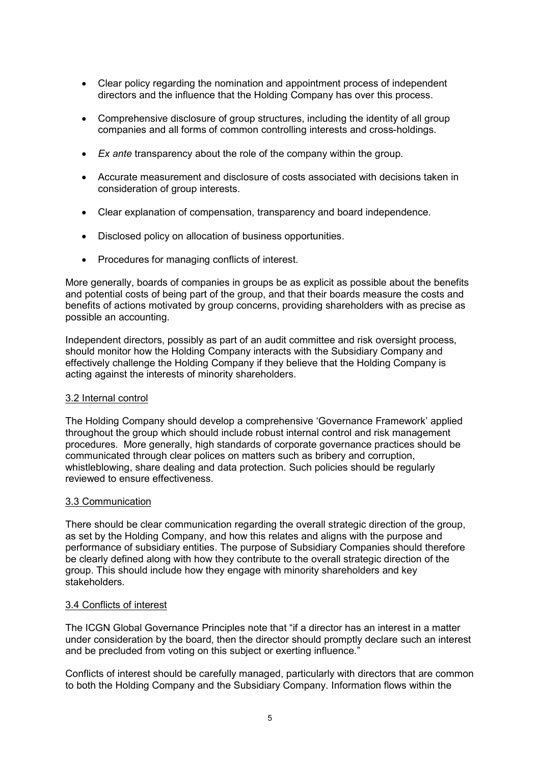- Clear policy regarding the nomination and appointment process of independent directors and the influence that the Holding Company has over this process.
- Comprehensive disclosure of group structures, including the identity of all group companies and all forms of common controlling interests and cross-holdings.
- *Ex ante* transparency about the role of the company within the group.
- Accurate measurement and disclosure of costs associated with decisions taken in consideration of group interests.
- Clear explanation of compensation, transparency and board independence.
- Disclosed policy on allocation of business opportunities.
- Procedures for managing conflicts of interest.

More generally, boards of companies in groups be as explicit as possible about the benefits and potential costs of being part of the group, and that their boards measure the costs and benefits of actions motivated by group concerns, providing shareholders with as precise as possible an accounting.

Independent directors, possibly as part of an audit committee and risk oversight process, should monitor how the Holding Company interacts with the Subsidiary Company and effectively challenge the Holding Company if they believe that the Holding Company is acting against the interests of minority shareholders.

## 3.2 Internal control

The Holding Company should develop a comprehensive 'Governance Framework' applied throughout the group which should include robust internal control and risk management procedures. More generally, high standards of corporate governance practices should be communicated through clear polices on matters such as bribery and corruption, whistleblowing, share dealing and data protection. Such policies should be regularly reviewed to ensure effectiveness.

## 3.3 Communication

There should be clear communication regarding the overall strategic direction of the group, as set by the Holding Company, and how this relates and aligns with the purpose and performance of subsidiary entities. The purpose of Subsidiary Companies should therefore be clearly defined along with how they contribute to the overall strategic direction of the group. This should include how they engage with minority shareholders and key stakeholders.

## 3.4 Conflicts of interest

The ICGN Global Governance Principles note that "if a director has an interest in a matter under consideration by the board, then the director should promptly declare such an interest and be precluded from voting on this subject or exerting influence."

Conflicts of interest should be carefully managed, particularly with directors that are common to both the Holding Company and the Subsidiary Company. Information flows within the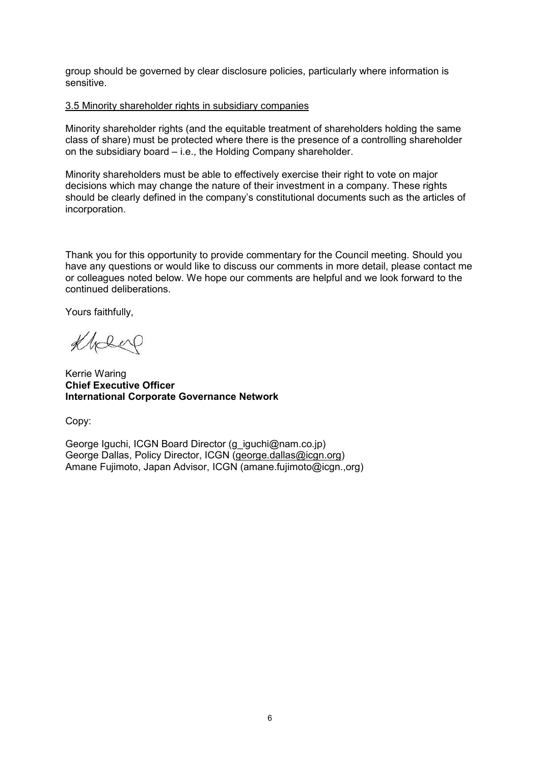group should be governed by clear disclosure policies, particularly where information is sensitive.

#### 3.5 Minority shareholder rights in subsidiary companies

Minority shareholder rights (and the equitable treatment of shareholders holding the same class of share) must be protected where there is the presence of a controlling shareholder on the subsidiary board – i.e., the Holding Company shareholder.

Minority shareholders must be able to effectively exercise their right to vote on major decisions which may change the nature of their investment in a company. These rights should be clearly defined in the company's constitutional documents such as the articles of incorporation.

Thank you for this opportunity to provide commentary for the Council meeting. Should you have any questions or would like to discuss our comments in more detail, please contact me or colleagues noted below. We hope our comments are helpful and we look forward to the continued deliberations.

Yours faithfully,

Klober

Kerrie Waring **Chief Executive Officer International Corporate Governance Network**

Copy:

George Iguchi, ICGN Board Director [\(g\\_iguchi@nam.co.jp\)](mailto:g_iguchi@nam.co.jp) George Dallas, Policy Director, ICGN ([george.dallas@icgn.org\)](mailto:george.dallas@icgn.org) Amane Fujimoto, Japan Advisor, ICGN (amane.fujimoto@icgn.,org)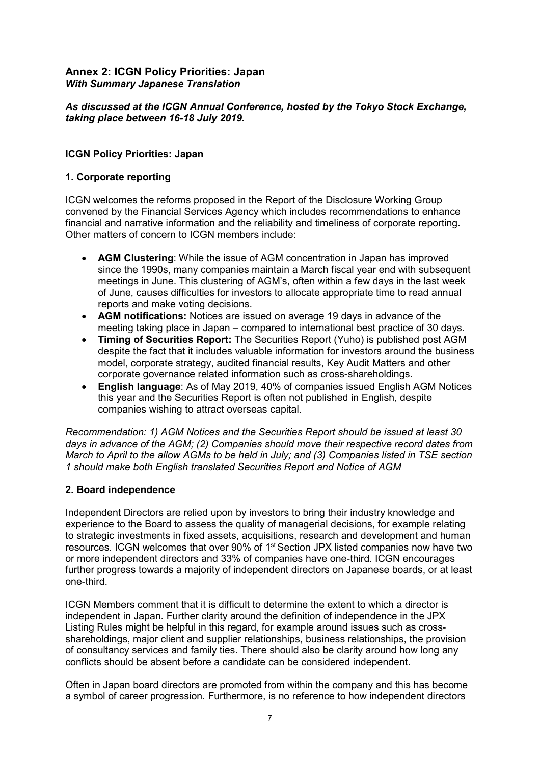# **Annex 2: ICGN Policy Priorities: Japan** *With Summary Japanese Translation*

*As discussed at the ICGN Annual Conference, hosted by the Tokyo Stock Exchange, taking place between 16-18 July 2019.*

## **ICGN Policy Priorities: Japan**

## **1. Corporate reporting**

ICGN welcomes the reforms proposed in the Report of the Disclosure Working Group convened by the Financial Services Agency which includes recommendations to enhance financial and narrative information and the reliability and timeliness of corporate reporting. Other matters of concern to ICGN members include:

- **AGM Clustering**: While the issue of AGM concentration in Japan has improved since the 1990s, many companies maintain a March fiscal year end with subsequent meetings in June. This clustering of AGM's, often within a few days in the last week of June, causes difficulties for investors to allocate appropriate time to read annual reports and make voting decisions.
- **AGM notifications:** Notices are issued on average 19 days in advance of the meeting taking place in Japan – compared to international best practice of 30 days.
- **Timing of Securities Report:** The Securities Report (Yuho) is published post AGM despite the fact that it includes valuable information for investors around the business model, corporate strategy, audited financial results, Key Audit Matters and other corporate governance related information such as cross-shareholdings.
- **English language**: As of May 2019, 40% of companies issued English AGM Notices this year and the Securities Report is often not published in English, despite companies wishing to attract overseas capital.

*Recommendation: 1) AGM Notices and the Securities Report should be issued at least 30 days in advance of the AGM; (2) Companies should move their respective record dates from March to April to the allow AGMs to be held in July; and (3) Companies listed in TSE section 1 should make both English translated Securities Report and Notice of AGM*

## **2. Board independence**

Independent Directors are relied upon by investors to bring their industry knowledge and experience to the Board to assess the quality of managerial decisions, for example relating to strategic investments in fixed assets, acquisitions, research and development and human resources. ICGN welcomes that over 90% of 1<sup>st</sup> Section JPX listed companies now have two or more independent directors and 33% of companies have one-third. ICGN encourages further progress towards a majority of independent directors on Japanese boards, or at least one-third.

ICGN Members comment that it is difficult to determine the extent to which a director is independent in Japan. Further clarity around the definition of independence in the JPX Listing Rules might be helpful in this regard, for example around issues such as crossshareholdings, major client and supplier relationships, business relationships, the provision of consultancy services and family ties. There should also be clarity around how long any conflicts should be absent before a candidate can be considered independent.

Often in Japan board directors are promoted from within the company and this has become a symbol of career progression. Furthermore, is no reference to how independent directors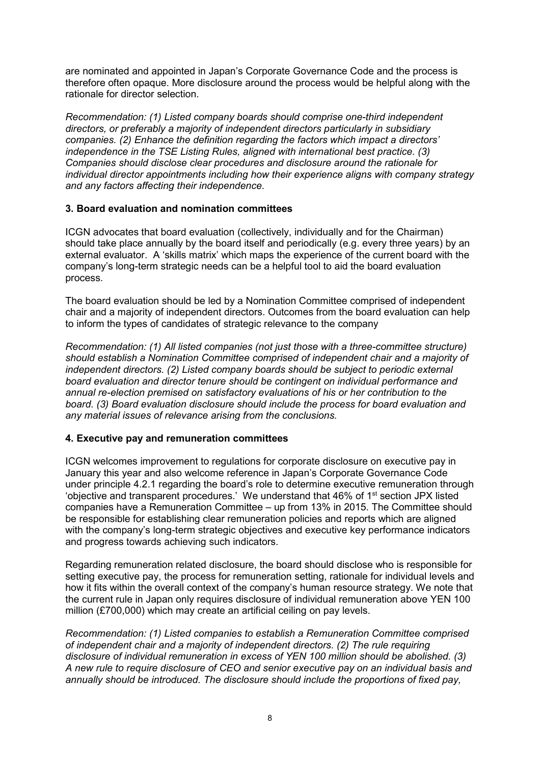are nominated and appointed in Japan's Corporate Governance Code and the process is therefore often opaque. More disclosure around the process would be helpful along with the rationale for director selection.

*Recommendation: (1) Listed company boards should comprise one-third independent directors, or preferably a majority of independent directors particularly in subsidiary companies. (2) Enhance the definition regarding the factors which impact a directors' independence in the TSE Listing Rules, aligned with international best practice. (3) Companies should disclose clear procedures and disclosure around the rationale for individual director appointments including how their experience aligns with company strategy and any factors affecting their independence.*

## **3. Board evaluation and nomination committees**

ICGN advocates that board evaluation (collectively, individually and for the Chairman) should take place annually by the board itself and periodically (e.g. every three years) by an external evaluator. A 'skills matrix' which maps the experience of the current board with the company's long-term strategic needs can be a helpful tool to aid the board evaluation process.

The board evaluation should be led by a Nomination Committee comprised of independent chair and a majority of independent directors. Outcomes from the board evaluation can help to inform the types of candidates of strategic relevance to the company

*Recommendation: (1) All listed companies (not just those with a three-committee structure) should establish a Nomination Committee comprised of independent chair and a majority of independent directors. (2) Listed company boards should be subject to periodic external board evaluation and director tenure should be contingent on individual performance and annual re-election premised on satisfactory evaluations of his or her contribution to the board. (3) Board evaluation disclosure should include the process for board evaluation and any material issues of relevance arising from the conclusions.*

## **4. Executive pay and remuneration committees**

ICGN welcomes improvement to regulations for corporate disclosure on executive pay in January this year and also welcome reference in Japan's Corporate Governance Code under principle 4.2.1 regarding the board's role to determine executive remuneration through 'objective and transparent procedures.' We understand that 46% of 1<sup>st</sup> section JPX listed companies have a Remuneration Committee – up from 13% in 2015. The Committee should be responsible for establishing clear remuneration policies and reports which are aligned with the company's long-term strategic objectives and executive key performance indicators and progress towards achieving such indicators.

Regarding remuneration related disclosure, the board should disclose who is responsible for setting executive pay, the process for remuneration setting, rationale for individual levels and how it fits within the overall context of the company's human resource strategy. We note that the current rule in Japan only requires disclosure of individual remuneration above YEN 100 million (£700,000) which may create an artificial ceiling on pay levels.

*Recommendation: (1) Listed companies to establish a Remuneration Committee comprised of independent chair and a majority of independent directors. (2) The rule requiring disclosure of individual remuneration in excess of YEN 100 million should be abolished. (3) A new rule to require disclosure of CEO and senior executive pay on an individual basis and annually should be introduced. The disclosure should include the proportions of fixed pay,*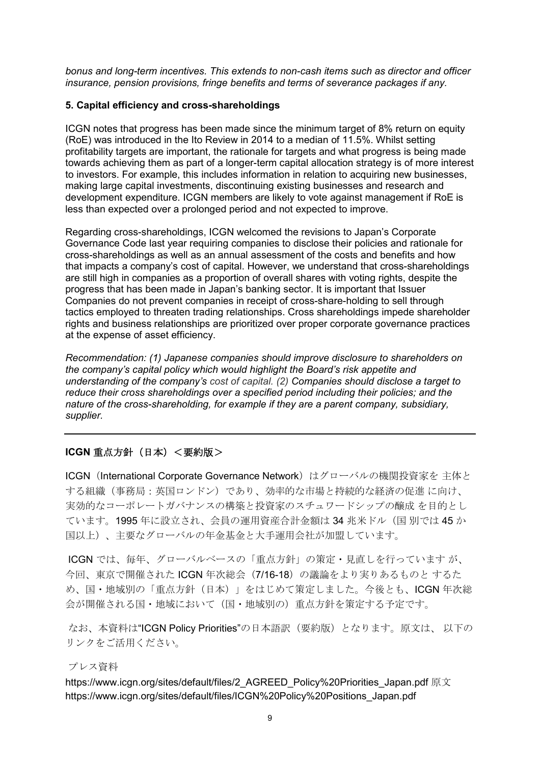*bonus and long-term incentives. This extends to non-cash items such as director and officer insurance, pension provisions, fringe benefits and terms of severance packages if any.*

#### **5. Capital efficiency and cross-shareholdings**

ICGN notes that progress has been made since the minimum target of 8% return on equity (RoE) was introduced in the Ito Review in 2014 to a median of 11.5%. Whilst setting profitability targets are important, the rationale for targets and what progress is being made towards achieving them as part of a longer-term capital allocation strategy is of more interest to investors. For example, this includes information in relation to acquiring new businesses, making large capital investments, discontinuing existing businesses and research and development expenditure. ICGN members are likely to vote against management if RoE is less than expected over a prolonged period and not expected to improve.

Regarding cross-shareholdings, ICGN welcomed the revisions to Japan's Corporate Governance Code last year requiring companies to disclose their policies and rationale for cross-shareholdings as well as an annual assessment of the costs and benefits and how that impacts a company's cost of capital. However, we understand that cross-shareholdings are still high in companies as a proportion of overall shares with voting rights, despite the progress that has been made in Japan's banking sector. It is important that Issuer Companies do not prevent companies in receipt of cross-share-holding to sell through tactics employed to threaten trading relationships. Cross shareholdings impede shareholder rights and business relationships are prioritized over proper corporate governance practices at the expense of asset efficiency.

*Recommendation: (1) Japanese companies should improve disclosure to shareholders on the company's capital policy which would highlight the Board's risk appetite and understanding of the company's cost of capital. (2) Companies should disclose a target to reduce their cross shareholdings over a specified period including their policies; and the nature of the cross-shareholding, for example if they are a parent company, subsidiary, supplier.*

# **ICGN** 重点方針(日本)<要約版>

ICGN (International Corporate Governance Network) はグローバルの機関投資家を 主体と する組織(事務局:英国ロンドン)であり、効率的な市場と持続的な経済の促進 に向け、 実効的なコーポレートガバナンスの構築と投資家のスチュワードシップの醸成 を目的とし ています。1995 年に設立され、会員の運用資産合計金額は 34 兆米ドル(国 別では 45 か 国以上)、主要なグローバルの年金基金と大手運用会社が加盟しています。

ICGN では、毎年、グローバルベースの「重点方針」の策定・見直しを行っています が、 今回、東京で開催された ICGN 年次総会(7/16-18)の議論をより実りあるものと するた め、国・地域別の「重点方針(日本)」をはじめて策定しました。今後とも、ICGN 年次総 会が開催される国・地域において(国・地域別の)重点方針を策定する予定です。

なお、本資料は"ICGN Policy Priorities"の日本語訳 (要約版)となります。原文は、以下の リンクをご活用ください。

#### プレス資料

[https://www.icgn.org/sites/default/files/2\\_AGREED\\_Policy%20Priorities\\_Japan.pdf](https://www.icgn.org/sites/default/files/2_AGREED_Policy%20Priorities_Japan.pdf) 原文 [https://www.icgn.org/sites/default/files/ICGN%20Policy%20Positions\\_Japan.pdf](https://www.icgn.org/sites/default/files/ICGN%20Policy%20Positions_Japan.pdf)